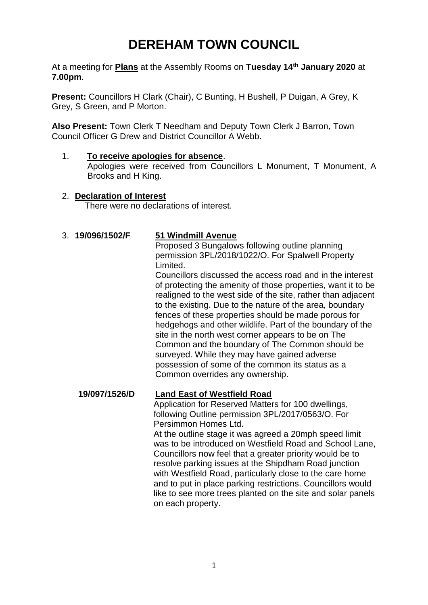# **DEREHAM TOWN COUNCIL**

At a meeting for **Plans** at the Assembly Rooms on **Tuesday 14th January 2020** at **7.00pm**.

**Present:** Councillors H Clark (Chair), C Bunting, H Bushell, P Duigan, A Grey, K Grey, S Green, and P Morton.

**Also Present:** Town Clerk T Needham and Deputy Town Clerk J Barron, Town Council Officer G Drew and District Councillor A Webb.

1. **To receive apologies for absence**. Apologies were received from Councillors L Monument, T Monument, A Brooks and H King.

## 2. **Declaration of Interest**

There were no declarations of interest.

#### 3. **19/096/1502/F 51 Windmill Avenue**

Proposed 3 Bungalows following outline planning permission 3PL/2018/1022/O. For Spalwell Property Limited.

Councillors discussed the access road and in the interest of protecting the amenity of those properties, want it to be realigned to the west side of the site, rather than adjacent to the existing. Due to the nature of the area, boundary fences of these properties should be made porous for hedgehogs and other wildlife. Part of the boundary of the site in the north west corner appears to be on The Common and the boundary of The Common should be surveyed. While they may have gained adverse possession of some of the common its status as a Common overrides any ownership.

#### **19/097/1526/D Land East of Westfield Road**

Application for Reserved Matters for 100 dwellings, following Outline permission 3PL/2017/0563/O. For Persimmon Homes Ltd.

At the outline stage it was agreed a 20mph speed limit was to be introduced on Westfield Road and School Lane, Councillors now feel that a greater priority would be to resolve parking issues at the Shipdham Road junction with Westfield Road, particularly close to the care home and to put in place parking restrictions. Councillors would like to see more trees planted on the site and solar panels on each property.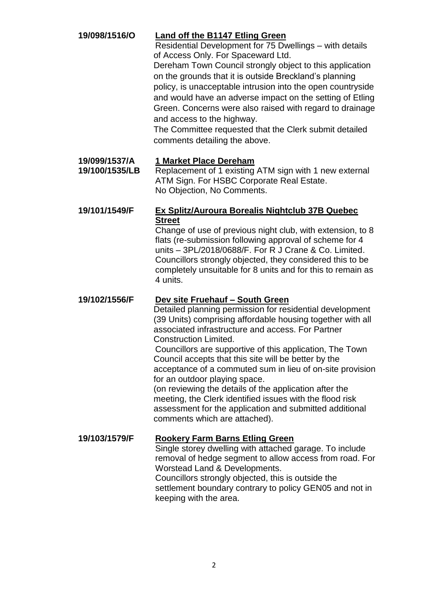| 19/098/1516/O                   | <b>Land off the B1147 Etling Green</b><br>Residential Development for 75 Dwellings - with details<br>of Access Only. For Spaceward Ltd.<br>Dereham Town Council strongly object to this application<br>on the grounds that it is outside Breckland's planning<br>policy, is unacceptable intrusion into the open countryside<br>and would have an adverse impact on the setting of Etling<br>Green. Concerns were also raised with regard to drainage<br>and access to the highway.<br>The Committee requested that the Clerk submit detailed<br>comments detailing the above.                                                                                                     |
|---------------------------------|------------------------------------------------------------------------------------------------------------------------------------------------------------------------------------------------------------------------------------------------------------------------------------------------------------------------------------------------------------------------------------------------------------------------------------------------------------------------------------------------------------------------------------------------------------------------------------------------------------------------------------------------------------------------------------|
| 19/099/1537/A<br>19/100/1535/LB | 1 Market Place Dereham<br>Replacement of 1 existing ATM sign with 1 new external<br>ATM Sign. For HSBC Corporate Real Estate.<br>No Objection, No Comments.                                                                                                                                                                                                                                                                                                                                                                                                                                                                                                                        |
| 19/101/1549/F                   | <b>Ex Splitz/Auroura Borealis Nightclub 37B Quebec</b><br><b>Street</b><br>Change of use of previous night club, with extension, to 8<br>flats (re-submission following approval of scheme for 4<br>units - 3PL/2018/0688/F. For R J Crane & Co. Limited.<br>Councillors strongly objected, they considered this to be<br>completely unsuitable for 8 units and for this to remain as<br>4 units.                                                                                                                                                                                                                                                                                  |
| 19/102/1556/F                   | Dev site Fruehauf - South Green<br>Detailed planning permission for residential development<br>(39 Units) comprising affordable housing together with all<br>associated infrastructure and access. For Partner<br><b>Construction Limited.</b><br>Councillors are supportive of this application, The Town<br>Council accepts that this site will be better by the<br>acceptance of a commuted sum in lieu of on-site provision<br>for an outdoor playing space.<br>(on reviewing the details of the application after the<br>meeting, the Clerk identified issues with the flood risk<br>assessment for the application and submitted additional<br>comments which are attached). |
| 19/103/1579/F                   | <b>Rookery Farm Barns Etling Green</b><br>Single storey dwelling with attached garage. To include<br>removal of hedge segment to allow access from road. For<br>Worstead Land & Developments.<br>Councillors strongly objected, this is outside the<br>settlement boundary contrary to policy GEN05 and not in<br>keeping with the area.                                                                                                                                                                                                                                                                                                                                           |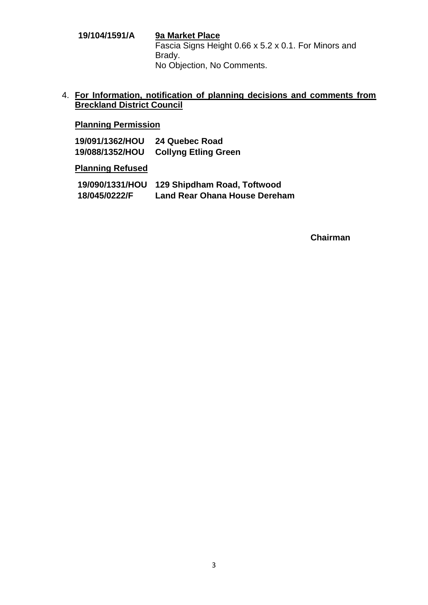**19/104/1591/A 9a Market Place** Fascia Signs Height 0.66 x 5.2 x 0.1. For Minors and Brady. No Objection, No Comments.

4. **For Information, notification of planning decisions and comments from Breckland District Council**

# **Planning Permission**

**19/091/1362/HOU 24 Quebec Road 19/088/1352/HOU Collyng Etling Green**

#### **Planning Refused**

| 19/090/1331/HOU | 129 Shipdham Road, Toftwood          |
|-----------------|--------------------------------------|
| 18/045/0222/F   | <b>Land Rear Ohana House Dereham</b> |

#### **Chairman**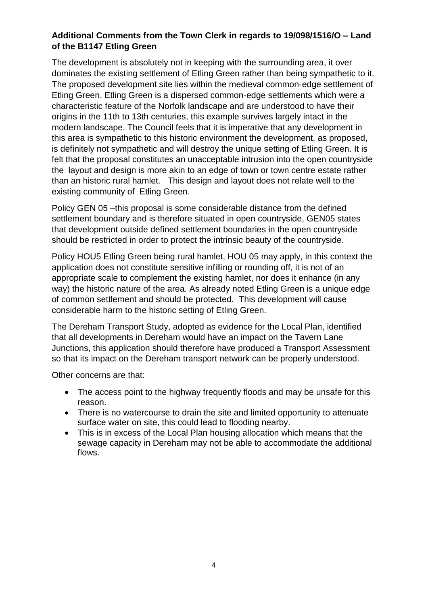### **Additional Comments from the Town Clerk in regards to 19/098/1516/O – Land of the B1147 Etling Green**

The development is absolutely not in keeping with the surrounding area, it over dominates the existing settlement of Etling Green rather than being sympathetic to it. The proposed development site lies within the medieval common‐edge settlement of Etling Green. Etling Green is a dispersed common‐edge settlements which were a characteristic feature of the Norfolk landscape and are understood to have their origins in the 11th to 13th centuries, this example survives largely intact in the modern landscape. The Council feels that it is imperative that any development in this area is sympathetic to this historic environment the development, as proposed, is definitely not sympathetic and will destroy the unique setting of Etling Green. It is felt that the proposal constitutes an unacceptable intrusion into the open countryside the layout and design is more akin to an edge of town or town centre estate rather than an historic rural hamlet. This design and layout does not relate well to the existing community of Etling Green.

Policy GEN 05 –this proposal is some considerable distance from the defined settlement boundary and is therefore situated in open countryside, GEN05 states that development outside defined settlement boundaries in the open countryside should be restricted in order to protect the intrinsic beauty of the countryside.

Policy HOU5 Etling Green being rural hamlet, HOU 05 may apply, in this context the application does not constitute sensitive infilling or rounding off, it is not of an appropriate scale to complement the existing hamlet, nor does it enhance (in any way) the historic nature of the area. As already noted Etling Green is a unique edge of common settlement and should be protected. This development will cause considerable harm to the historic setting of Etling Green.

The Dereham Transport Study, adopted as evidence for the Local Plan, identified that all developments in Dereham would have an impact on the Tavern Lane Junctions, this application should therefore have produced a Transport Assessment so that its impact on the Dereham transport network can be properly understood.

Other concerns are that:

- The access point to the highway frequently floods and may be unsafe for this reason.
- There is no watercourse to drain the site and limited opportunity to attenuate surface water on site, this could lead to flooding nearby.
- This is in excess of the Local Plan housing allocation which means that the sewage capacity in Dereham may not be able to accommodate the additional flows.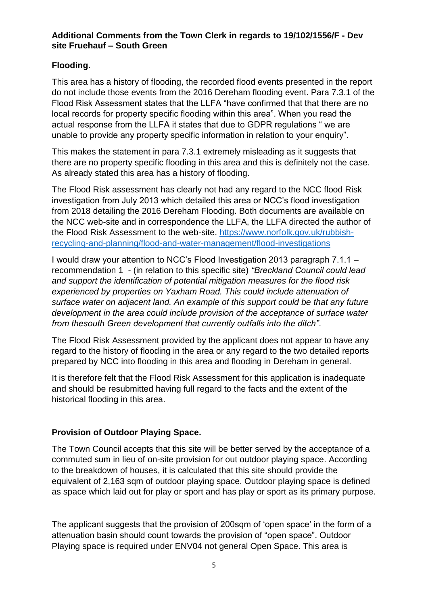#### **Additional Comments from the Town Clerk in regards to 19/102/1556/F - Dev site Fruehauf – South Green**

# **Flooding.**

This area has a history of flooding, the recorded flood events presented in the report do not include those events from the 2016 Dereham flooding event. Para 7.3.1 of the Flood Risk Assessment states that the LLFA "have confirmed that that there are no local records for property specific flooding within this area". When you read the actual response from the LLFA it states that due to GDPR regulations " we are unable to provide any property specific information in relation to your enquiry".

This makes the statement in para 7.3.1 extremely misleading as it suggests that there are no property specific flooding in this area and this is definitely not the case. As already stated this area has a history of flooding.

The Flood Risk assessment has clearly not had any regard to the NCC flood Risk investigation from July 2013 which detailed this area or NCC's flood investigation from 2018 detailing the 2016 Dereham Flooding. Both documents are available on the NCC web-site and in correspondence the LLFA, the LLFA directed the author of the Flood Risk Assessment to the web-site. [https://www.norfolk.gov.uk/rubbish](https://www.norfolk.gov.uk/rubbish-recycling-and-planning/flood-and-water-management/flood-investigations)[recycling-and-planning/flood-and-water-management/flood-investigations](https://www.norfolk.gov.uk/rubbish-recycling-and-planning/flood-and-water-management/flood-investigations)

I would draw your attention to NCC's Flood Investigation 2013 paragraph 7.1.1 – recommendation 1 - (in relation to this specific site) *"Breckland Council could lead and support the identification of potential mitigation measures for the flood risk experienced by properties on Yaxham Road. This could include attenuation of surface water on adjacent land. An example of this support could be that any future development in the area could include provision of the acceptance of surface water from thesouth Green development that currently outfalls into the ditch"*.

The Flood Risk Assessment provided by the applicant does not appear to have any regard to the history of flooding in the area or any regard to the two detailed reports prepared by NCC into flooding in this area and flooding in Dereham in general.

It is therefore felt that the Flood Risk Assessment for this application is inadequate and should be resubmitted having full regard to the facts and the extent of the historical flooding in this area.

### **Provision of Outdoor Playing Space.**

The Town Council accepts that this site will be better served by the acceptance of a commuted sum in lieu of on-site provision for out outdoor playing space. According to the breakdown of houses, it is calculated that this site should provide the equivalent of 2,163 sqm of outdoor playing space. Outdoor playing space is defined as space which laid out for play or sport and has play or sport as its primary purpose.

The applicant suggests that the provision of 200sqm of 'open space' in the form of a attenuation basin should count towards the provision of "open space". Outdoor Playing space is required under ENV04 not general Open Space. This area is